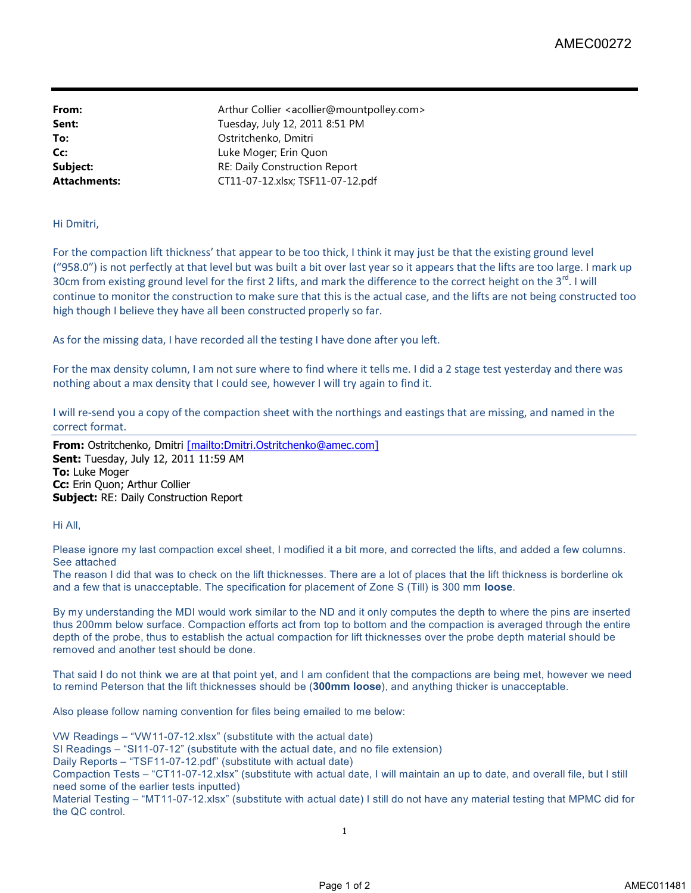**From:** Arthur Collier <acollier@mountpolley.com> **Sent:** Tuesday, July 12, 2011 8:51 PM **To:** Ostritchenko, Dmitri **Cc:** Luke Moger; Erin Quon **Subject:** RE: Daily Construction Report **Attachments:** CT11-07-12.xlsx; TSF11-07-12.pdf

## Hi Dmitri,

For the compaction lift thickness' that appear to be too thick, I think it may just be that the existing ground level ("958.0") is not perfectly at that level but was built a bit over last year so it appears that the lifts are too large. I mark up 30cm from existing ground level for the first 2 lifts, and mark the difference to the correct height on the 3<sup>rd</sup>. I will continue to monitor the construction to make sure that this is the actual case, and the lifts are not being constructed too high though I believe they have all been constructed properly so far.

As for the missing data, I have recorded all the testing I have done after you left.

For the max density column, I am not sure where to find where it tells me. I did a 2 stage test yesterday and there was nothing about a max density that I could see, however I will try again to find it.

I will re-send you a copy of the compaction sheet with the northings and eastings that are missing, and named in the correct format.

**From:** Ostritchenko, Dmitri [mailto:Dmitri.Ostritchenko@amec.com] **Sent:** Tuesday, July 12, 2011 11:59 AM **To:** Luke Moger **Cc:** Erin Quon; Arthur Collier **Subject:** RE: Daily Construction Report

Hi All,

Please ignore my last compaction excel sheet, I modified it a bit more, and corrected the lifts, and added a few columns. See attached

The reason I did that was to check on the lift thicknesses. There are a lot of places that the lift thickness is borderline ok and a few that is unacceptable. The specification for placement of Zone S (Till) is 300 mm **loose**.

By my understanding the MDI would work similar to the ND and it only computes the depth to where the pins are inserted thus 200mm below surface. Compaction efforts act from top to bottom and the compaction is averaged through the entire depth of the probe, thus to establish the actual compaction for lift thicknesses over the probe depth material should be removed and another test should be done.

That said I do not think we are at that point yet, and I am confident that the compactions are being met, however we need to remind Peterson that the lift thicknesses should be (**300mm loose**), and anything thicker is unacceptable.

Also please follow naming convention for files being emailed to me below:

VW Readings – "VW11-07-12.xlsx" (substitute with the actual date)

SI Readings – "SI11-07-12" (substitute with the actual date, and no file extension)

Daily Reports – "TSF11-07-12.pdf" (substitute with actual date)

Compaction Tests – "CT11-07-12.xlsx" (substitute with actual date, I will maintain an up to date, and overall file, but I still need some of the earlier tests inputted)

Material Testing – "MT11-07-12.xlsx" (substitute with actual date) I still do not have any material testing that MPMC did for the QC control.